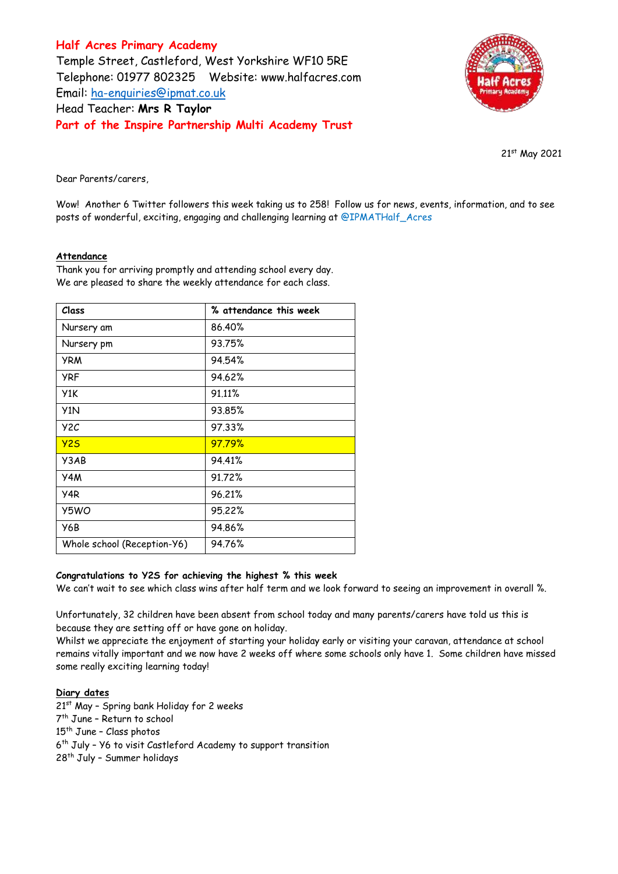**Half Acres Primary Academy** Temple Street, Castleford, West Yorkshire WF10 5RE Telephone: 01977 802325 Website: [www.halfacres.com](http://www.halfacres.com/) Email: [ha-enquiries@ipmat.co.uk](mailto:ha-enquiries@ipmat.co.uk) Head Teacher: **Mrs R Taylor Part of the Inspire Partnership Multi Academy Trust**



21st May 2021

Dear Parents/carers,

Wow! Another 6 Twitter followers this week taking us to 258! Follow us for news, events, information, and to see posts of wonderful, exciting, engaging and challenging learning at @IPMATHalf\_Acres

## **Attendance**

Thank you for arriving promptly and attending school every day. We are pleased to share the weekly attendance for each class.

| Class                       | % attendance this week |
|-----------------------------|------------------------|
| Nursery am                  | 86.40%                 |
| Nursery pm                  | 93.75%                 |
| <b>YRM</b>                  | 94.54%                 |
| <b>YRF</b>                  | 94.62%                 |
| Y1K                         | 91.11%                 |
| Y <sub>1</sub> N            | 93.85%                 |
| Y <sub>2</sub> C            | 97.33%                 |
| Y25                         | 97.79%                 |
| Y3AB                        | 94.41%                 |
| Y4M                         | 91.72%                 |
| Y <sub>4</sub> R            | 96.21%                 |
| Y5WO                        | 95.22%                 |
| Y6B                         | 94.86%                 |
| Whole school (Reception-Y6) | 94.76%                 |

## **Congratulations to Y2S for achieving the highest % this week**

We can't wait to see which class wins after half term and we look forward to seeing an improvement in overall %.

Unfortunately, 32 children have been absent from school today and many parents/carers have told us this is because they are setting off or have gone on holiday.

Whilst we appreciate the enjoyment of starting your holiday early or visiting your caravan, attendance at school remains vitally important and we now have 2 weeks off where some schools only have 1. Some children have missed some really exciting learning today!

## **Diary dates**

21<sup>st</sup> May - Spring bank Holiday for 2 weeks 7 th June – Return to school 15<sup>th</sup> June - Class photos 6<sup>th</sup> July - Y6 to visit Castleford Academy to support transition 28th July – Summer holidays